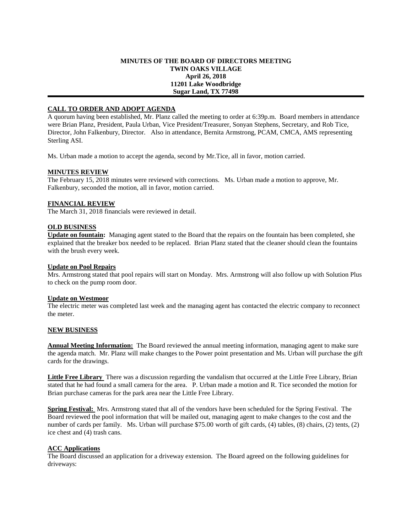## **MINUTES OF THE BOARD OF DIRECTORS MEETING TWIN OAKS VILLAGE April 26, 2018 11201 Lake Woodbridge Sugar Land, TX 77498**

# **CALL TO ORDER AND ADOPT AGENDA**

A quorum having been established, Mr. Planz called the meeting to order at 6:39p.m. Board members in attendance were Brian Planz, President, Paula Urban, Vice President/Treasurer, Sonyan Stephens, Secretary, and Rob Tice, Director, John Falkenbury, Director. Also in attendance, Bernita Armstrong, PCAM, CMCA, AMS representing Sterling ASI.

Ms. Urban made a motion to accept the agenda, second by Mr.Tice, all in favor, motion carried.

### **MINUTES REVIEW**

The February 15, 2018 minutes were reviewed with corrections. Ms. Urban made a motion to approve, Mr. Falkenbury, seconded the motion, all in favor, motion carried.

### **FINANCIAL REVIEW**

The March 31, 2018 financials were reviewed in detail.

### **OLD BUSINESS**

**Update on fountain:** Managing agent stated to the Board that the repairs on the fountain has been completed, she explained that the breaker box needed to be replaced. Brian Planz stated that the cleaner should clean the fountains with the brush every week.

### **Update on Pool Repairs**

Mrs. Armstrong stated that pool repairs will start on Monday. Mrs. Armstrong will also follow up with Solution Plus to check on the pump room door.

### **Update on Westmoor**

The electric meter was completed last week and the managing agent has contacted the electric company to reconnect the meter.

### **NEW BUSINESS**

**Annual Meeting Information:** The Board reviewed the annual meeting information, managing agent to make sure the agenda match. Mr. Planz will make changes to the Power point presentation and Ms. Urban will purchase the gift cards for the drawings.

**Little Free Library** There was a discussion regarding the vandalism that occurred at the Little Free Library, Brian stated that he had found a small camera for the area. P. Urban made a motion and R. Tice seconded the motion for Brian purchase cameras for the park area near the Little Free Library.

**Spring Festival:** Mrs. Armstrong stated that all of the vendors have been scheduled for the Spring Festival. The Board reviewed the pool information that will be mailed out, managing agent to make changes to the cost and the number of cards per family. Ms. Urban will purchase \$75.00 worth of gift cards, (4) tables, (8) chairs, (2) tents, (2) ice chest and (4) trash cans.

### **ACC Applications**

The Board discussed an application for a driveway extension. The Board agreed on the following guidelines for driveways: